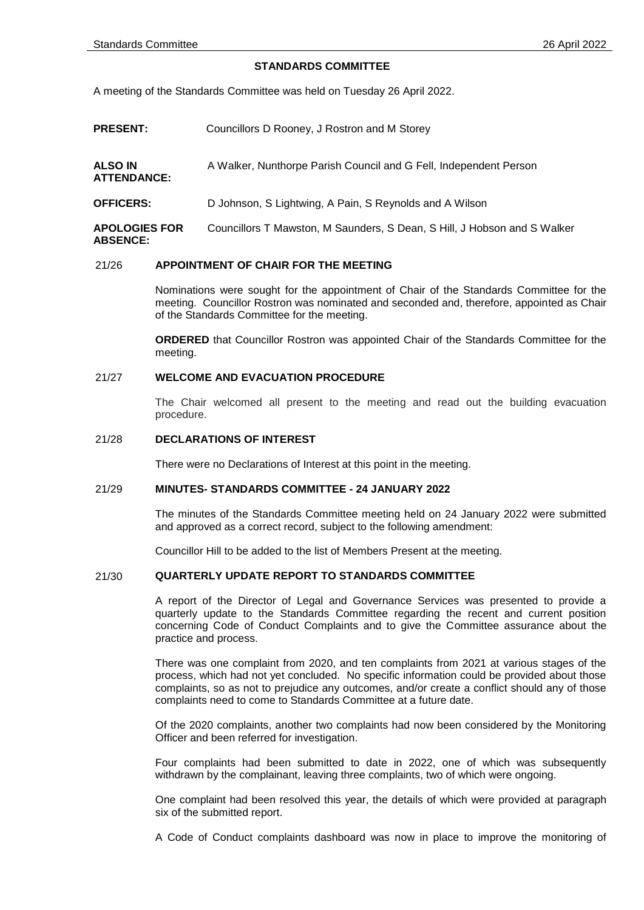# **STANDARDS COMMITTEE**

A meeting of the Standards Committee was held on Tuesday 26 April 2022.

- **PRESENT:** Councillors D Rooney, J Rostron and M Storey
- **ALSO IN ATTENDANCE:** A Walker, Nunthorpe Parish Council and G Fell, Independent Person
- **OFFICERS:** D Johnson, S Lightwing, A Pain, S Reynolds and A Wilson

**APOLOGIES FOR ABSENCE:** Councillors T Mawston, M Saunders, S Dean, S Hill, J Hobson and S Walker

# 21/26 **APPOINTMENT OF CHAIR FOR THE MEETING**

Nominations were sought for the appointment of Chair of the Standards Committee for the meeting. Councillor Rostron was nominated and seconded and, therefore, appointed as Chair of the Standards Committee for the meeting.

**ORDERED** that Councillor Rostron was appointed Chair of the Standards Committee for the meeting.

#### 21/27 **WELCOME AND EVACUATION PROCEDURE**

The Chair welcomed all present to the meeting and read out the building evacuation procedure.

#### 21/28 **DECLARATIONS OF INTEREST**

There were no Declarations of Interest at this point in the meeting.

#### 21/29 **MINUTES- STANDARDS COMMITTEE - 24 JANUARY 2022**

The minutes of the Standards Committee meeting held on 24 January 2022 were submitted and approved as a correct record, subject to the following amendment:

Councillor Hill to be added to the list of Members Present at the meeting.

### 21/30 **QUARTERLY UPDATE REPORT TO STANDARDS COMMITTEE**

A report of the Director of Legal and Governance Services was presented to provide a quarterly update to the Standards Committee regarding the recent and current position concerning Code of Conduct Complaints and to give the Committee assurance about the practice and process.

There was one complaint from 2020, and ten complaints from 2021 at various stages of the process, which had not yet concluded. No specific information could be provided about those complaints, so as not to prejudice any outcomes, and/or create a conflict should any of those complaints need to come to Standards Committee at a future date.

Of the 2020 complaints, another two complaints had now been considered by the Monitoring Officer and been referred for investigation.

Four complaints had been submitted to date in 2022, one of which was subsequently withdrawn by the complainant, leaving three complaints, two of which were ongoing.

One complaint had been resolved this year, the details of which were provided at paragraph six of the submitted report.

A Code of Conduct complaints dashboard was now in place to improve the monitoring of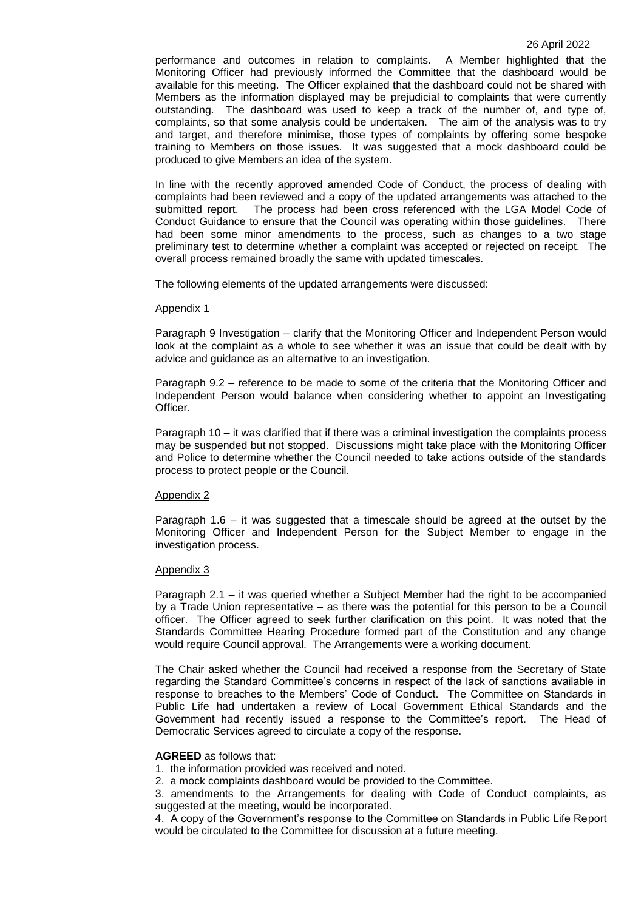performance and outcomes in relation to complaints. A Member highlighted that the Monitoring Officer had previously informed the Committee that the dashboard would be available for this meeting. The Officer explained that the dashboard could not be shared with Members as the information displayed may be prejudicial to complaints that were currently outstanding. The dashboard was used to keep a track of the number of, and type of, complaints, so that some analysis could be undertaken. The aim of the analysis was to try and target, and therefore minimise, those types of complaints by offering some bespoke training to Members on those issues. It was suggested that a mock dashboard could be produced to give Members an idea of the system.

In line with the recently approved amended Code of Conduct, the process of dealing with complaints had been reviewed and a copy of the updated arrangements was attached to the submitted report. The process had been cross referenced with the LGA Model Code of Conduct Guidance to ensure that the Council was operating within those guidelines. There had been some minor amendments to the process, such as changes to a two stage preliminary test to determine whether a complaint was accepted or rejected on receipt. The overall process remained broadly the same with updated timescales.

The following elements of the updated arrangements were discussed:

### Appendix 1

Paragraph 9 Investigation – clarify that the Monitoring Officer and Independent Person would look at the complaint as a whole to see whether it was an issue that could be dealt with by advice and guidance as an alternative to an investigation.

Paragraph 9.2 – reference to be made to some of the criteria that the Monitoring Officer and Independent Person would balance when considering whether to appoint an Investigating Officer.

Paragraph 10 – it was clarified that if there was a criminal investigation the complaints process may be suspended but not stopped. Discussions might take place with the Monitoring Officer and Police to determine whether the Council needed to take actions outside of the standards process to protect people or the Council.

# Appendix 2

Paragraph 1.6 – it was suggested that a timescale should be agreed at the outset by the Monitoring Officer and Independent Person for the Subject Member to engage in the investigation process.

# Appendix 3

Paragraph 2.1 – it was queried whether a Subject Member had the right to be accompanied by a Trade Union representative – as there was the potential for this person to be a Council officer. The Officer agreed to seek further clarification on this point. It was noted that the Standards Committee Hearing Procedure formed part of the Constitution and any change would require Council approval. The Arrangements were a working document.

The Chair asked whether the Council had received a response from the Secretary of State regarding the Standard Committee's concerns in respect of the lack of sanctions available in response to breaches to the Members' Code of Conduct. The Committee on Standards in Public Life had undertaken a review of Local Government Ethical Standards and the Government had recently issued a response to the Committee's report. The Head of Democratic Services agreed to circulate a copy of the response.

### **AGREED** as follows that:

1. the information provided was received and noted.

2. a mock complaints dashboard would be provided to the Committee.

3. amendments to the Arrangements for dealing with Code of Conduct complaints, as suggested at the meeting, would be incorporated.

4. A copy of the Government's response to the Committee on Standards in Public Life Report would be circulated to the Committee for discussion at a future meeting.